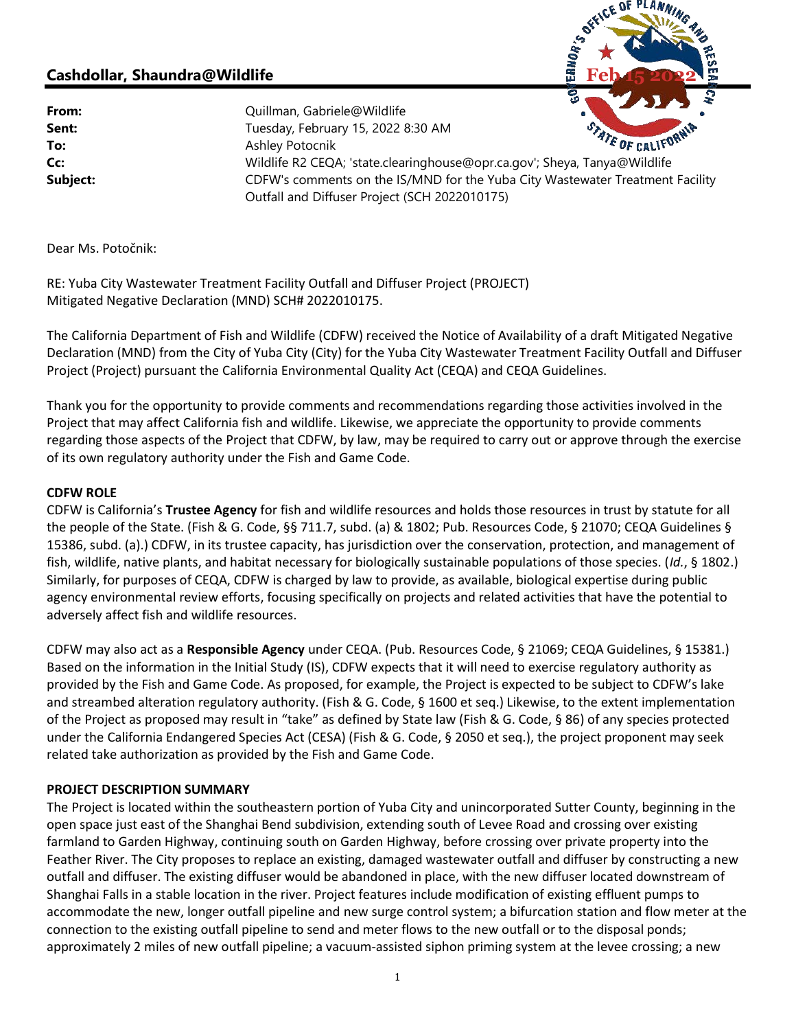# Cashdollar, Shaundra@Wildlife

**From:** Quillman, Gabriele@Wildlife

Sent: Sent: Tuesday, February 15, 2022 8:30 AM To: Ashley Potocnik Sent:<br>
To: Ashley Potocnik<br>
Co: Wildlife R2 CEQA; 'state.clearinghouse@opr.ca.gov'; Sheya, Tanya@Wildlife<br>
Co: Subject: CDFW's comments on the IS/MND for the Yuba City Wastewater Treatment Facility Outfall and Diffuser Project (SCH 2022010175)

**Feb 15 2022**

Dear Ms. Potočnik:

RE: Yuba City Wastewater Treatment Facility Outfall and Diffuser Project (PROJECT) Mitigated Negative Declaration (MND) SCH# 2022010175.

The California Department of Fish and Wildlife (CDFW) received the Notice of Availability of a draft Mitigated Negative Declaration (MND) from the City of Yuba City (City) for the Yuba City Wastewater Treatment Facility Outfall and Diffuser Project (Project) pursuant the California Environmental Quality Act (CEQA) and CEQA Guidelines.

Thank you for the opportunity to provide comments and recommendations regarding those activities involved in the Project that may affect California fish and wildlife. Likewise, we appreciate the opportunity to provide comments regarding those aspects of the Project that CDFW, by law, may be required to carry out or approve through the exercise of its own regulatory authority under the Fish and Game Code.

#### CDFW ROLE

CDFW is California's Trustee Agency for fish and wildlife resources and holds those resources in trust by statute for all the people of the State. (Fish & G. Code, §§ 711.7, subd. (a) & 1802; Pub. Resources Code, § 21070; CEQA Guidelines § 15386, subd. (a).) CDFW, in its trustee capacity, has jurisdiction over the conservation, protection, and management of fish, wildlife, native plants, and habitat necessary for biologically sustainable populations of those species. (Id., § 1802.) Similarly, for purposes of CEQA, CDFW is charged by law to provide, as available, biological expertise during public agency environmental review efforts, focusing specifically on projects and related activities that have the potential to adversely affect fish and wildlife resources.

CDFW may also act as a Responsible Agency under CEQA. (Pub. Resources Code, § 21069; CEQA Guidelines, § 15381.) Based on the information in the Initial Study (IS), CDFW expects that it will need to exercise regulatory authority as provided by the Fish and Game Code. As proposed, for example, the Project is expected to be subject to CDFW's lake and streambed alteration regulatory authority. (Fish & G. Code, § 1600 et seq.) Likewise, to the extent implementation of the Project as proposed may result in "take" as defined by State law (Fish & G. Code, § 86) of any species protected under the California Endangered Species Act (CESA) (Fish & G. Code, § 2050 et seq.), the project proponent may seek related take authorization as provided by the Fish and Game Code.

#### PROJECT DESCRIPTION SUMMARY

The Project is located within the southeastern portion of Yuba City and unincorporated Sutter County, beginning in the open space just east of the Shanghai Bend subdivision, extending south of Levee Road and crossing over existing farmland to Garden Highway, continuing south on Garden Highway, before crossing over private property into the Feather River. The City proposes to replace an existing, damaged wastewater outfall and diffuser by constructing a new outfall and diffuser. The existing diffuser would be abandoned in place, with the new diffuser located downstream of Shanghai Falls in a stable location in the river. Project features include modification of existing effluent pumps to accommodate the new, longer outfall pipeline and new surge control system; a bifurcation station and flow meter at the connection to the existing outfall pipeline to send and meter flows to the new outfall or to the disposal ponds; approximately 2 miles of new outfall pipeline; a vacuum-assisted siphon priming system at the levee crossing; a new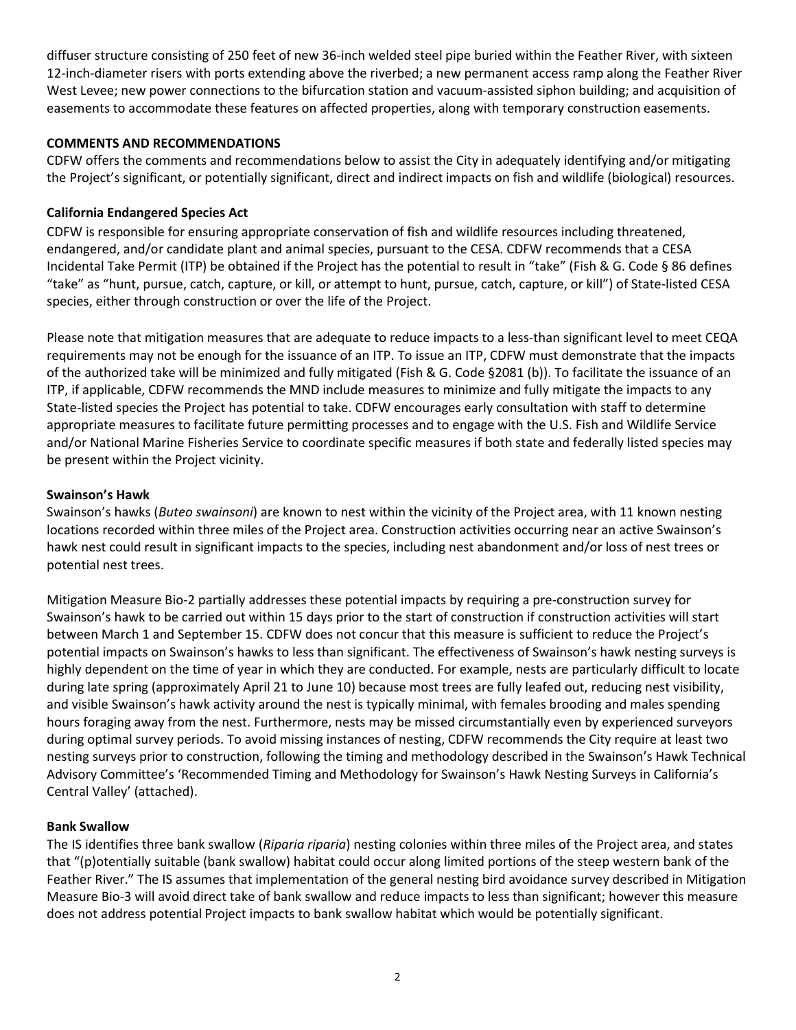diffuser structure consisting of 250 feet of new 36-inch welded steel pipe buried within the Feather River, with sixteen 12-inch-diameter risers with ports extending above the riverbed; a new permanent access ramp along the Feather River West Levee; new power connections to the bifurcation station and vacuum-assisted siphon building; and acquisition of easements to accommodate these features on affected properties, along with temporary construction easements.

#### COMMENTS AND RECOMMENDATIONS

CDFW offers the comments and recommendations below to assist the City in adequately identifying and/or mitigating the Project's significant, or potentially significant, direct and indirect impacts on fish and wildlife (biological) resources.

#### California Endangered Species Act

CDFW is responsible for ensuring appropriate conservation of fish and wildlife resources including threatened, endangered, and/or candidate plant and animal species, pursuant to the CESA. CDFW recommends that a CESA Incidental Take Permit (ITP) be obtained if the Project has the potential to result in "take" (Fish & G. Code § 86 defines "take" as "hunt, pursue, catch, capture, or kill, or attempt to hunt, pursue, catch, capture, or kill") of State-listed CESA species, either through construction or over the life of the Project.

Please note that mitigation measures that are adequate to reduce impacts to a less-than significant level to meet CEQA requirements may not be enough for the issuance of an ITP. To issue an ITP, CDFW must demonstrate that the impacts of the authorized take will be minimized and fully mitigated (Fish & G. Code §2081 (b)). To facilitate the issuance of an ITP, if applicable, CDFW recommends the MND include measures to minimize and fully mitigate the impacts to any State-listed species the Project has potential to take. CDFW encourages early consultation with staff to determine appropriate measures to facilitate future permitting processes and to engage with the U.S. Fish and Wildlife Service and/or National Marine Fisheries Service to coordinate specific measures if both state and federally listed species may be present within the Project vicinity.

#### Swainson's Hawk

Swainson's hawks (Buteo swainsoni) are known to nest within the vicinity of the Project area, with 11 known nesting locations recorded within three miles of the Project area. Construction activities occurring near an active Swainson's hawk nest could result in significant impacts to the species, including nest abandonment and/or loss of nest trees or potential nest trees.

Mitigation Measure Bio-2 partially addresses these potential impacts by requiring a pre-construction survey for Swainson's hawk to be carried out within 15 days prior to the start of construction if construction activities will start between March 1 and September 15. CDFW does not concur that this measure is sufficient to reduce the Project's potential impacts on Swainson's hawks to less than significant. The effectiveness of Swainson's hawk nesting surveys is highly dependent on the time of year in which they are conducted. For example, nests are particularly difficult to locate during late spring (approximately April 21 to June 10) because most trees are fully leafed out, reducing nest visibility, and visible Swainson's hawk activity around the nest is typically minimal, with females brooding and males spending hours foraging away from the nest. Furthermore, nests may be missed circumstantially even by experienced surveyors during optimal survey periods. To avoid missing instances of nesting, CDFW recommends the City require at least two nesting surveys prior to construction, following the timing and methodology described in the Swainson's Hawk Technical Advisory Committee's 'Recommended Timing and Methodology for Swainson's Hawk Nesting Surveys in California's Central Valley' (attached).

#### Bank Swallow

The IS identifies three bank swallow (Riparia riparia) nesting colonies within three miles of the Project area, and states that "(p)otentially suitable (bank swallow) habitat could occur along limited portions of the steep western bank of the Feather River." The IS assumes that implementation of the general nesting bird avoidance survey described in Mitigation Measure Bio-3 will avoid direct take of bank swallow and reduce impacts to less than significant; however this measure does not address potential Project impacts to bank swallow habitat which would be potentially significant.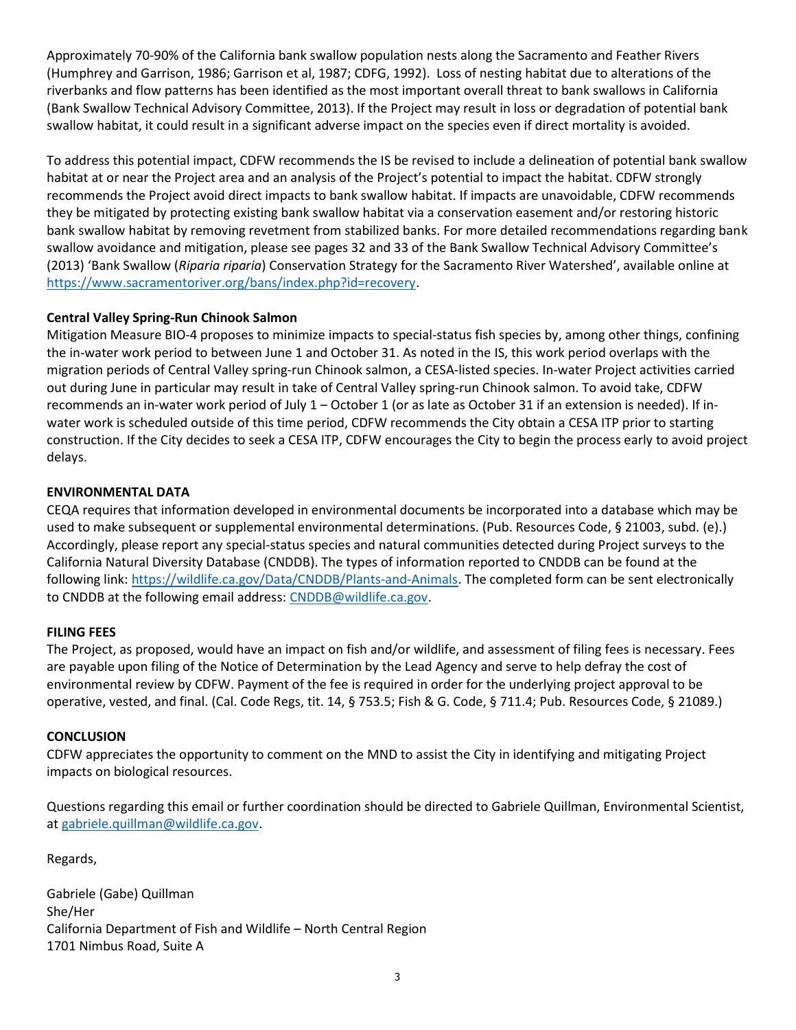Approximately 70-90% of the California bank swallow population nests along the Sacramento and Feather Rivers (Humphrey and Garrison, 1986; Garrison et al, 1987; CDFG, 1992). Loss of nesting habitat due to alterations of the riverbanks and flow patterns has been identified as the most important overall threat to bank swallows in California (Bank Swallow Technical Advisory Committee, 2013). If the Project may result in loss or degradation of potential bank swallow habitat, it could result in a significant adverse impact on the species even if direct mortality is avoided.

To address this potential impact, CDFW recommends the IS be revised to include a delineation of potential bank swallow habitat at or near the Project area and an analysis of the Project's potential to impact the habitat. CDFW strongly recommends the Project avoid direct impacts to bank swallow habitat. If impacts are unavoidable, CDFW recommends they be mitigated by protecting existing bank swallow habitat via a conservation easement and/or restoring historic bank swallow habitat by removing revetment from stabilized banks. For more detailed recommendations regarding bank swallow avoidance and mitigation, please see pages 32 and 33 of the Bank Swallow Technical Advisory Committee's (2013) 'Bank Swallow (Riparia riparia) Conservation Strategy for the Sacramento River Watershed', available online at https://www.sacramentoriver.org/bans/index.php?id=recovery.

# Central Valley Spring-Run Chinook Salmon

Mitigation Measure BIO-4 proposes to minimize impacts to special-status fish species by, among other things, confining the in-water work period to between June 1 and October 31. As noted in the IS, this work period overlaps with the migration periods of Central Valley spring-run Chinook salmon, a CESA-listed species. In-water Project activities carried out during June in particular may result in take of Central Valley spring-run Chinook salmon. To avoid take, CDFW recommends an in-water work period of July 1 – October 1 (or as late as October 31 if an extension is needed). If inwater work is scheduled outside of this time period, CDFW recommends the City obtain a CESA ITP prior to starting construction. If the City decides to seek a CESA ITP, CDFW encourages the City to begin the process early to avoid project delays.

# ENVIRONMENTAL DATA

CEQA requires that information developed in environmental documents be incorporated into a database which may be used to make subsequent or supplemental environmental determinations. (Pub. Resources Code, § 21003, subd. (e).) Accordingly, please report any special-status species and natural communities detected during Project surveys to the California Natural Diversity Database (CNDDB). The types of information reported to CNDDB can be found at the following link: https://wildlife.ca.gov/Data/CNDDB/Plants-and-Animals. The completed form can be sent electronically to CNDDB at the following email address: CNDDB@wildlife.ca.gov.

# FILING FEES

The Project, as proposed, would have an impact on fish and/or wildlife, and assessment of filing fees is necessary. Fees are payable upon filing of the Notice of Determination by the Lead Agency and serve to help defray the cost of environmental review by CDFW. Payment of the fee is required in order for the underlying project approval to be operative, vested, and final. (Cal. Code Regs, tit. 14, § 753.5; Fish & G. Code, § 711.4; Pub. Resources Code, § 21089.)

# **CONCLUSION**

CDFW appreciates the opportunity to comment on the MND to assist the City in identifying and mitigating Project impacts on biological resources.

Questions regarding this email or further coordination should be directed to Gabriele Quillman, Environmental Scientist, at gabriele.quillman@wildlife.ca.gov.

Regards,

Gabriele (Gabe) Quillman She/Her California Department of Fish and Wildlife – North Central Region 1701 Nimbus Road, Suite A